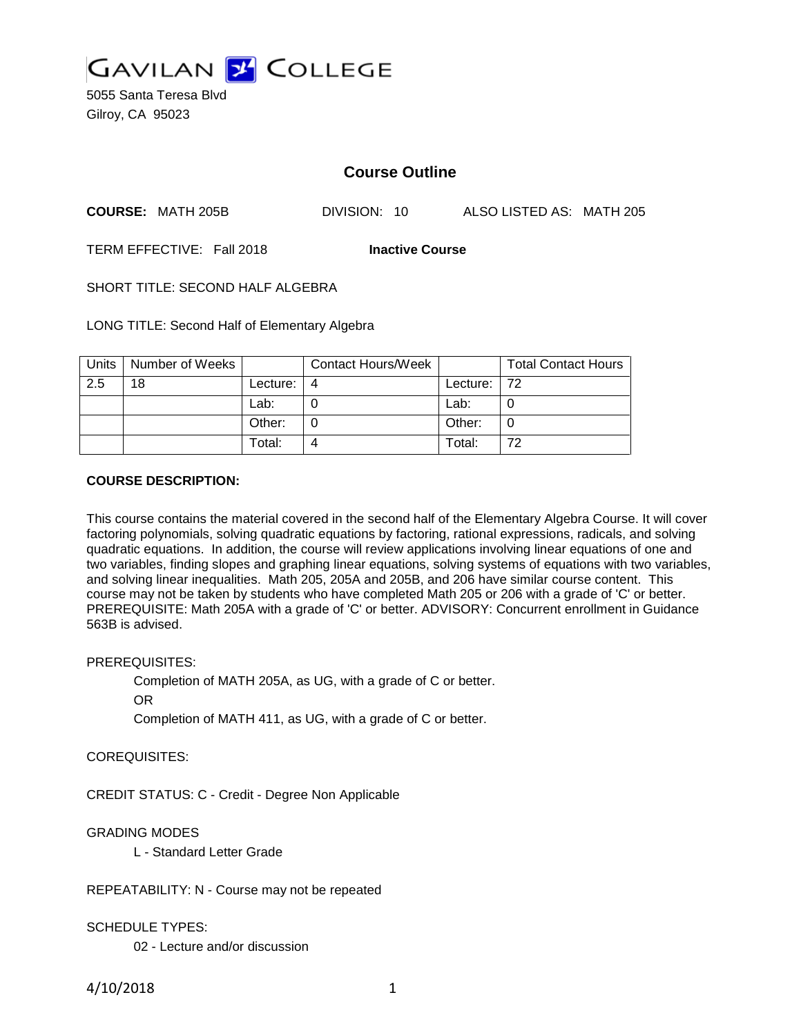

5055 Santa Teresa Blvd Gilroy, CA 95023

# **Course Outline**

**COURSE:** MATH 205B DIVISION: 10 ALSO LISTED AS: MATH 205

TERM EFFECTIVE: Fall 2018 **Inactive Course**

SHORT TITLE: SECOND HALF ALGEBRA

LONG TITLE: Second Half of Elementary Algebra

| <b>Units</b> | Number of Weeks |          | <b>Contact Hours/Week</b> |             | <b>Total Contact Hours</b> |
|--------------|-----------------|----------|---------------------------|-------------|----------------------------|
| 2.5          | 18              | Lecture: | 4                         | Lecture: 72 |                            |
|              |                 | Lab:     |                           | Lab:        |                            |
|              |                 | Other:   |                           | Other:      |                            |
|              |                 | Total:   |                           | Total:      | 72                         |

## **COURSE DESCRIPTION:**

This course contains the material covered in the second half of the Elementary Algebra Course. It will cover factoring polynomials, solving quadratic equations by factoring, rational expressions, radicals, and solving quadratic equations. In addition, the course will review applications involving linear equations of one and two variables, finding slopes and graphing linear equations, solving systems of equations with two variables, and solving linear inequalities. Math 205, 205A and 205B, and 206 have similar course content. This course may not be taken by students who have completed Math 205 or 206 with a grade of 'C' or better. PREREQUISITE: Math 205A with a grade of 'C' or better. ADVISORY: Concurrent enrollment in Guidance 563B is advised.

#### PREREQUISITES:

Completion of MATH 205A, as UG, with a grade of C or better.

OR

Completion of MATH 411, as UG, with a grade of C or better.

#### COREQUISITES:

CREDIT STATUS: C - Credit - Degree Non Applicable

## GRADING MODES

L - Standard Letter Grade

REPEATABILITY: N - Course may not be repeated

#### SCHEDULE TYPES:

02 - Lecture and/or discussion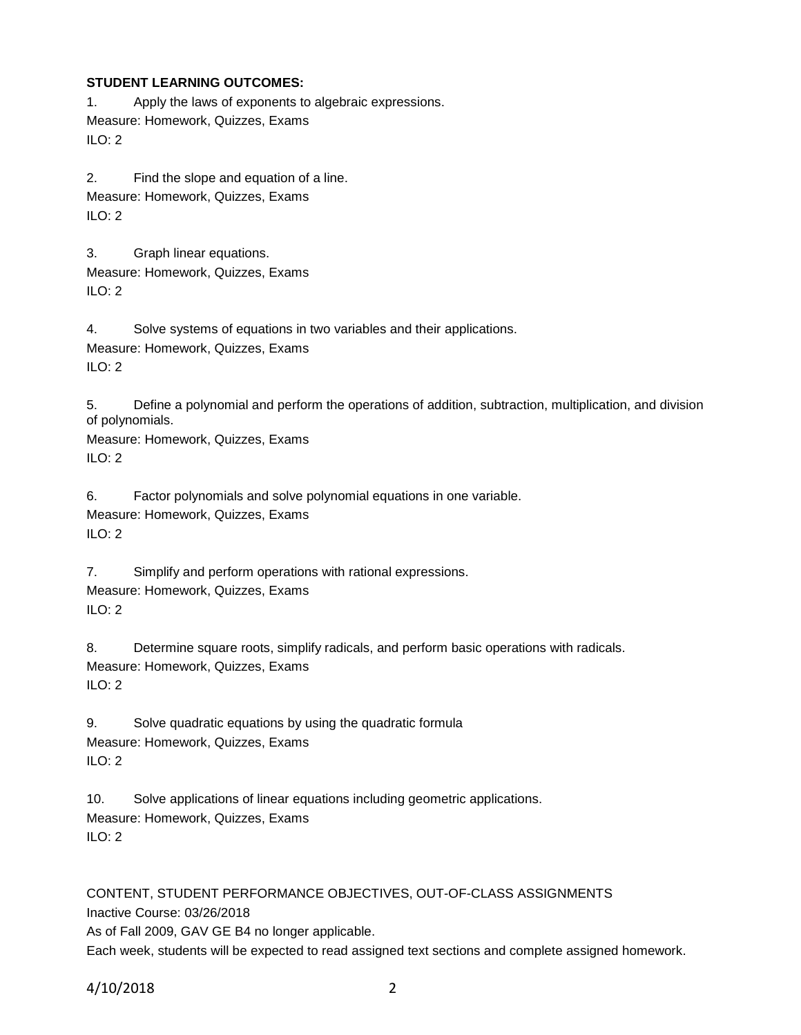## **STUDENT LEARNING OUTCOMES:**

1. Apply the laws of exponents to algebraic expressions. Measure: Homework, Quizzes, Exams  $ILO: 2$ 

2. Find the slope and equation of a line. Measure: Homework, Quizzes, Exams ILO: 2

3. Graph linear equations. Measure: Homework, Quizzes, Exams  $ILO: 2$ 

4. Solve systems of equations in two variables and their applications. Measure: Homework, Quizzes, Exams ILO: 2

5. Define a polynomial and perform the operations of addition, subtraction, multiplication, and division of polynomials.

Measure: Homework, Quizzes, Exams  $ILO: 2$ 

6. Factor polynomials and solve polynomial equations in one variable. Measure: Homework, Quizzes, Exams ILO: 2

7. Simplify and perform operations with rational expressions. Measure: Homework, Quizzes, Exams ILO: 2

8. Determine square roots, simplify radicals, and perform basic operations with radicals. Measure: Homework, Quizzes, Exams ILO: 2

9. Solve quadratic equations by using the quadratic formula Measure: Homework, Quizzes, Exams  $ILO: 2$ 

10. Solve applications of linear equations including geometric applications. Measure: Homework, Quizzes, Exams ILO: 2

CONTENT, STUDENT PERFORMANCE OBJECTIVES, OUT-OF-CLASS ASSIGNMENTS Inactive Course: 03/26/2018 As of Fall 2009, GAV GE B4 no longer applicable. Each week, students will be expected to read assigned text sections and complete assigned homework.

4/10/2018 2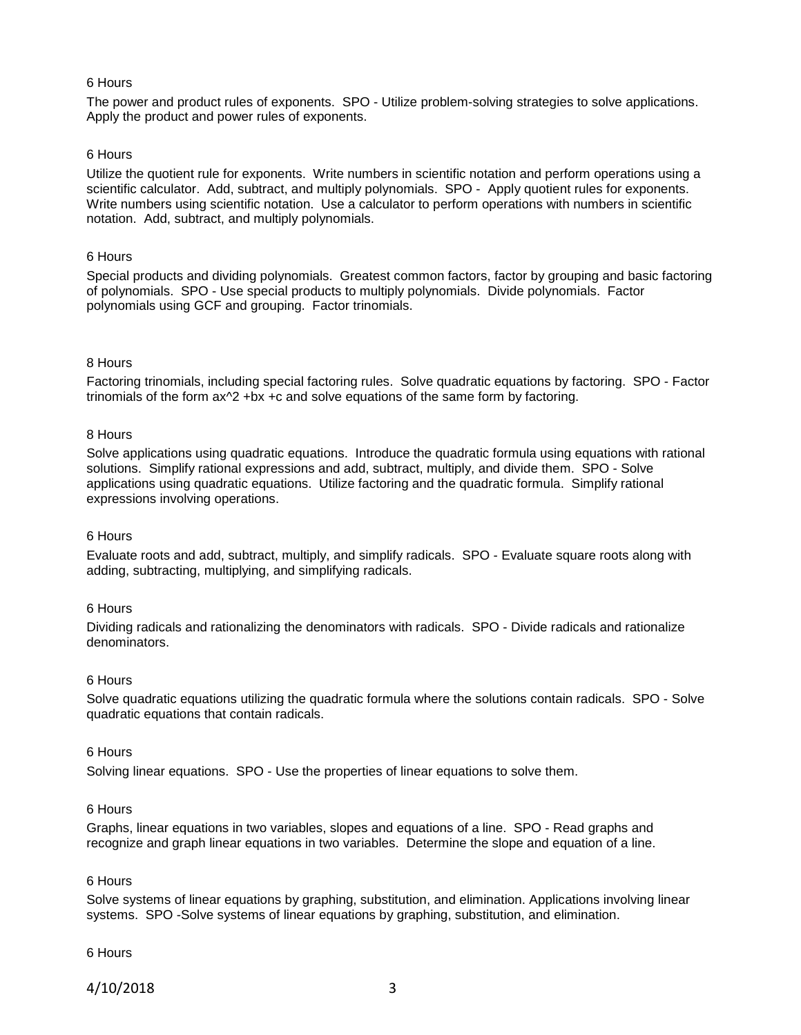## 6 Hours

The power and product rules of exponents. SPO - Utilize problem-solving strategies to solve applications. Apply the product and power rules of exponents.

## 6 Hours

Utilize the quotient rule for exponents. Write numbers in scientific notation and perform operations using a scientific calculator. Add, subtract, and multiply polynomials. SPO - Apply quotient rules for exponents. Write numbers using scientific notation. Use a calculator to perform operations with numbers in scientific notation. Add, subtract, and multiply polynomials.

## 6 Hours

Special products and dividing polynomials. Greatest common factors, factor by grouping and basic factoring of polynomials. SPO - Use special products to multiply polynomials. Divide polynomials. Factor polynomials using GCF and grouping. Factor trinomials.

## 8 Hours

Factoring trinomials, including special factoring rules. Solve quadratic equations by factoring. SPO - Factor trinomials of the form  $ax^2 +bx +c$  and solve equations of the same form by factoring.

#### 8 Hours

Solve applications using quadratic equations. Introduce the quadratic formula using equations with rational solutions. Simplify rational expressions and add, subtract, multiply, and divide them. SPO - Solve applications using quadratic equations. Utilize factoring and the quadratic formula. Simplify rational expressions involving operations.

#### 6 Hours

Evaluate roots and add, subtract, multiply, and simplify radicals. SPO - Evaluate square roots along with adding, subtracting, multiplying, and simplifying radicals.

#### 6 Hours

Dividing radicals and rationalizing the denominators with radicals. SPO - Divide radicals and rationalize denominators.

#### 6 Hours

Solve quadratic equations utilizing the quadratic formula where the solutions contain radicals. SPO - Solve quadratic equations that contain radicals.

#### 6 Hours

Solving linear equations. SPO - Use the properties of linear equations to solve them.

## 6 Hours

Graphs, linear equations in two variables, slopes and equations of a line. SPO - Read graphs and recognize and graph linear equations in two variables. Determine the slope and equation of a line.

#### 6 Hours

Solve systems of linear equations by graphing, substitution, and elimination. Applications involving linear systems. SPO -Solve systems of linear equations by graphing, substitution, and elimination.

#### 6 Hours

4/10/2018 3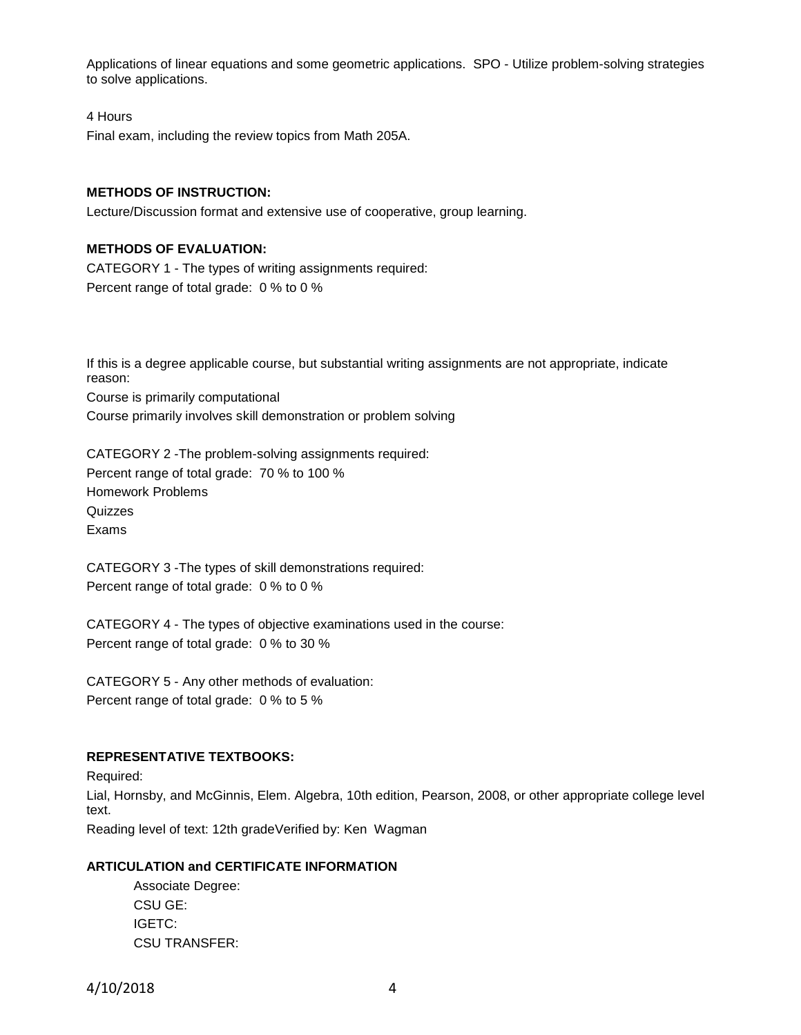Applications of linear equations and some geometric applications. SPO - Utilize problem-solving strategies to solve applications.

#### 4 Hours

Final exam, including the review topics from Math 205A.

## **METHODS OF INSTRUCTION:**

Lecture/Discussion format and extensive use of cooperative, group learning.

## **METHODS OF EVALUATION:**

CATEGORY 1 - The types of writing assignments required: Percent range of total grade: 0 % to 0 %

If this is a degree applicable course, but substantial writing assignments are not appropriate, indicate reason: Course is primarily computational Course primarily involves skill demonstration or problem solving

CATEGORY 2 -The problem-solving assignments required: Percent range of total grade: 70 % to 100 % Homework Problems **Quizzes** Exams

CATEGORY 3 -The types of skill demonstrations required: Percent range of total grade: 0 % to 0 %

CATEGORY 4 - The types of objective examinations used in the course: Percent range of total grade: 0 % to 30 %

CATEGORY 5 - Any other methods of evaluation: Percent range of total grade: 0 % to 5 %

#### **REPRESENTATIVE TEXTBOOKS:**

Required: Lial, Hornsby, and McGinnis, Elem. Algebra, 10th edition, Pearson, 2008, or other appropriate college level text.

Reading level of text: 12th gradeVerified by: Ken Wagman

## **ARTICULATION and CERTIFICATE INFORMATION**

Associate Degree: CSU GE: IGETC: CSU TRANSFER:

4/10/2018 4